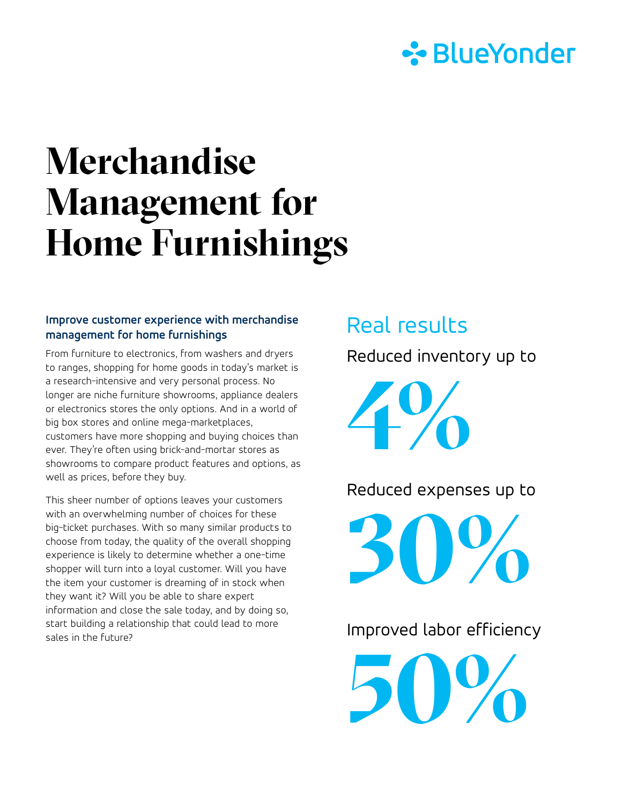## **∻**BlueYonder

# **Merchandise Management for Home Furnishings**

### **Improve customer experience with merchandise management for home furnishings**

From furniture to electronics, from washers and dryers to ranges, shopping for home goods in today's market is a research-intensive and very personal process. No longer are niche furniture showrooms, appliance dealers or electronics stores the only options. And in a world of big box stores and online mega-marketplaces, customers have more shopping and buying choices than ever. They're often using brick-and-mortar stores as showrooms to compare product features and options, as well as prices, before they buy.

This sheer number of options leaves your customers with an overwhelming number of choices for these big-ticket purchases. With so many similar products to choose from today, the quality of the overall shopping experience is likely to determine whether a one-time shopper will turn into a loyal customer. Will you have the item your customer is dreaming of in stock when they want it? Will you be able to share expert information and close the sale today, and by doing so, start building a relationship that could lead to more sales in the future?

### Real results

Reduced inventory up to

**4%**

Reduced expenses up to

**30%**

Improved labor efficiency

**50%**